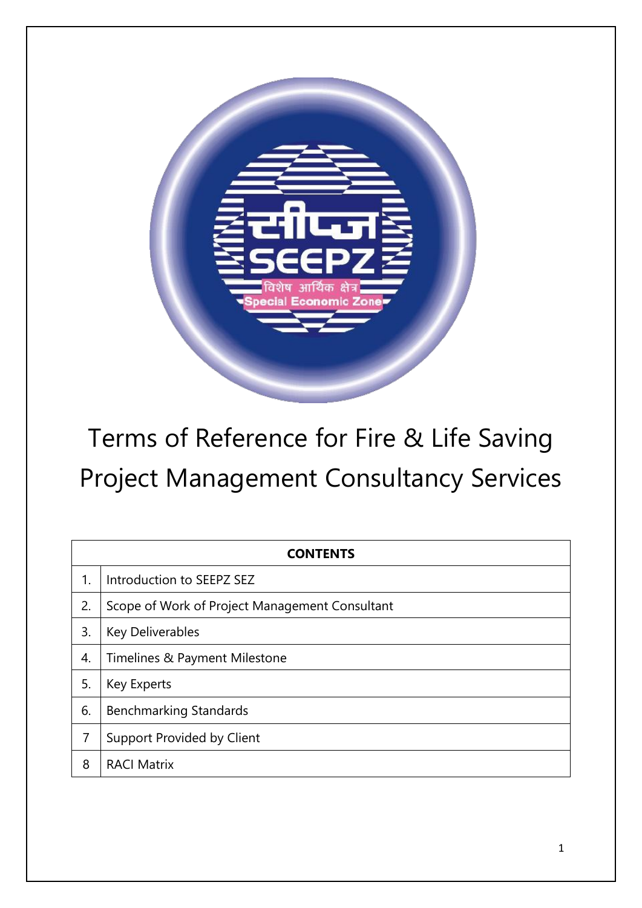

# Terms of Reference for Fire & Life Saving Project Management Consultancy Services

| <b>CONTENTS</b> |                                                |  |  |  |
|-----------------|------------------------------------------------|--|--|--|
| 1.              | Introduction to SEEPZ SEZ                      |  |  |  |
| 2.              | Scope of Work of Project Management Consultant |  |  |  |
| 3.              | <b>Key Deliverables</b>                        |  |  |  |
| 4.              | Timelines & Payment Milestone                  |  |  |  |
| 5.              | Key Experts                                    |  |  |  |
| 6.              | <b>Benchmarking Standards</b>                  |  |  |  |
| 7               | Support Provided by Client                     |  |  |  |
| 8               | <b>RACI Matrix</b>                             |  |  |  |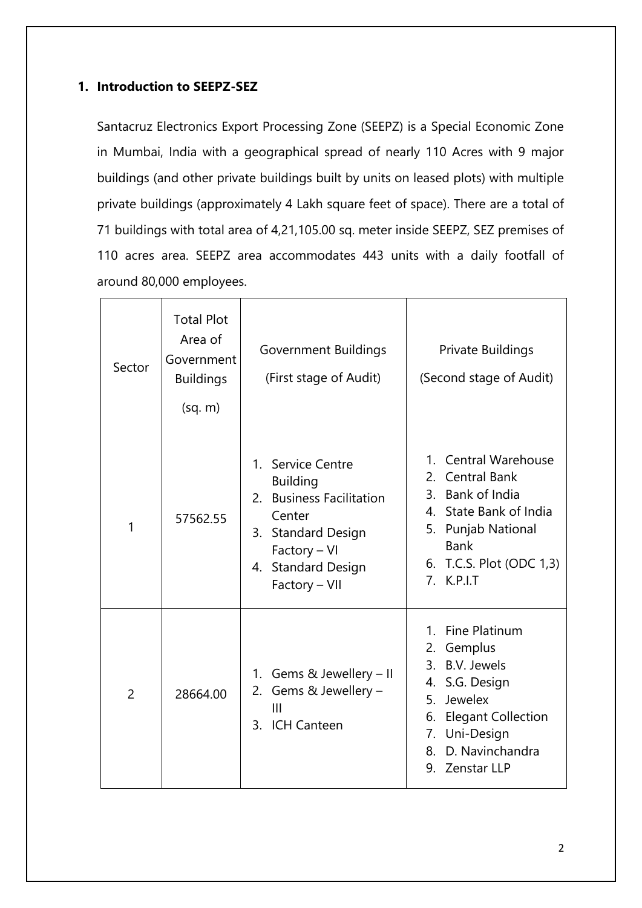# **1. Introduction to SEEPZ-SEZ**

Santacruz Electronics Export Processing Zone (SEEPZ) is a Special Economic Zone in Mumbai, India with a geographical spread of nearly 110 Acres with 9 major buildings (and other private buildings built by units on leased plots) with multiple private buildings (approximately 4 Lakh square feet of space). There are a total of 71 buildings with total area of 4,21,105.00 sq. meter inside SEEPZ, SEZ premises of 110 acres area. SEEPZ area accommodates 443 units with a daily footfall of around 80,000 employees.

| Sector         | <b>Total Plot</b><br>Area of<br>Government<br><b>Buildings</b><br>(sq. m) | <b>Government Buildings</b><br>(First stage of Audit)                                                                                                   | Private Buildings<br>(Second stage of Audit)                                                                                                                                                                        |
|----------------|---------------------------------------------------------------------------|---------------------------------------------------------------------------------------------------------------------------------------------------------|---------------------------------------------------------------------------------------------------------------------------------------------------------------------------------------------------------------------|
| 1              | 57562.55                                                                  | 1. Service Centre<br><b>Building</b><br>2. Business Facilitation<br>Center<br>3. Standard Design<br>Factory - VI<br>4. Standard Design<br>Factory - VII | <b>Central Warehouse</b><br>$1_{-}$<br>2. Central Bank<br>3. Bank of India<br>4. State Bank of India<br>5. Punjab National<br><b>Bank</b><br>6. T.C.S. Plot (ODC 1,3)<br>7. K.P.I.T                                 |
| $\overline{2}$ | 28664.00                                                                  | Gems & Jewellery - II<br>1.<br>Gems & Jewellery -<br>2.<br>III<br>3. ICH Canteen                                                                        | <b>Fine Platinum</b><br>$1_{-}$<br>Gemplus<br>2.<br>3. B.V. Jewels<br>4. S.G. Design<br>Jewelex<br>5 <sub>1</sub><br><b>Elegant Collection</b><br>6.<br>Uni-Design<br>7.<br>D. Navinchandra<br>8.<br>9. Zenstar LLP |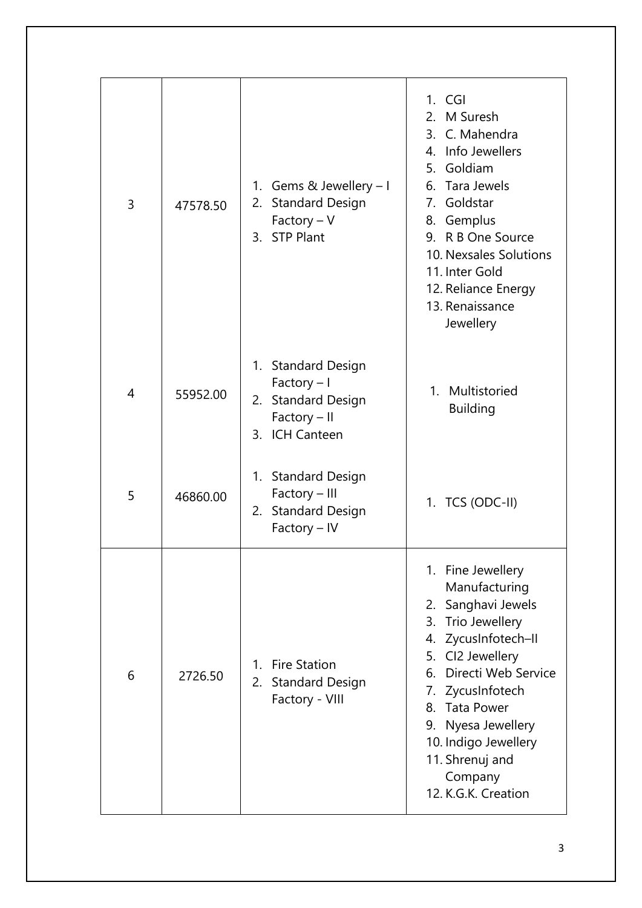| 3 | 47578.50 | 1. Gems & Jewellery - I<br><b>Standard Design</b><br>2.<br>$Factory - V$<br>3. STP Plant     | $1.$ CGI<br>2. M Suresh<br>3. C. Mahendra<br>4. Info Jewellers<br>5. Goldiam<br>6. Tara Jewels<br>7. Goldstar<br>8. Gemplus<br>9. R B One Source<br>10. Nexsales Solutions<br>11. Inter Gold<br>12. Reliance Energy<br>13. Renaissance<br>Jewellery                                                        |
|---|----------|----------------------------------------------------------------------------------------------|------------------------------------------------------------------------------------------------------------------------------------------------------------------------------------------------------------------------------------------------------------------------------------------------------------|
| 4 | 55952.00 | 1. Standard Design<br>$Factor$ y – I<br>2. Standard Design<br>Factory - II<br>3. ICH Canteen | 1. Multistoried<br><b>Building</b>                                                                                                                                                                                                                                                                         |
| 5 | 46860.00 | 1. Standard Design<br>Factory - III<br>2. Standard Design<br>Factory - IV                    | 1. TCS (ODC-II)                                                                                                                                                                                                                                                                                            |
| 6 | 2726.50  | <b>Fire Station</b><br>$\mathbf{1}$ .<br><b>Standard Design</b><br>2.<br>Factory - VIII      | 1. Fine Jewellery<br>Manufacturing<br>2. Sanghavi Jewels<br>Trio Jewellery<br>3.<br>4. ZycusInfotech-II<br>5. CI2 Jewellery<br>Directi Web Service<br>6.<br>7. ZycusInfotech<br><b>Tata Power</b><br>8.<br>9. Nyesa Jewellery<br>10. Indigo Jewellery<br>11. Shrenuj and<br>Company<br>12. K.G.K. Creation |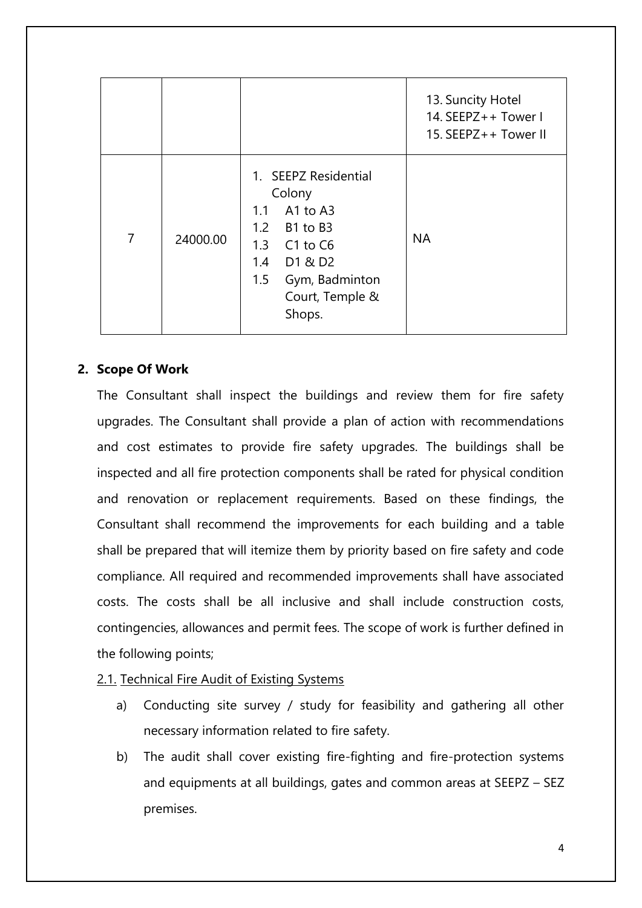|                |          |                                                                                                                                                     | 13. Suncity Hotel<br>14. SEEPZ++ Tower I<br>15. SEEPZ++ Tower III |
|----------------|----------|-----------------------------------------------------------------------------------------------------------------------------------------------------|-------------------------------------------------------------------|
| $\overline{7}$ | 24000.00 | 1. SEEPZ Residential<br>Colony<br>1.1 A1 to A3<br>1.2 B1 to B3<br>1.3 C1 to C6<br>1.4 D1 & D2<br>1.5<br>Gym, Badminton<br>Court, Temple &<br>Shops. | <b>NA</b>                                                         |

## **2. Scope Of Work**

The Consultant shall inspect the buildings and review them for fire safety upgrades. The Consultant shall provide a plan of action with recommendations and cost estimates to provide fire safety upgrades. The buildings shall be inspected and all fire protection components shall be rated for physical condition and renovation or replacement requirements. Based on these findings, the Consultant shall recommend the improvements for each building and a table shall be prepared that will itemize them by priority based on fire safety and code compliance. All required and recommended improvements shall have associated costs. The costs shall be all inclusive and shall include construction costs, contingencies, allowances and permit fees. The scope of work is further defined in the following points;

#### 2.1. Technical Fire Audit of Existing Systems

- a) Conducting site survey / study for feasibility and gathering all other necessary information related to fire safety.
- b) The audit shall cover existing fire-fighting and fire-protection systems and equipments at all buildings, gates and common areas at SEEPZ – SEZ premises.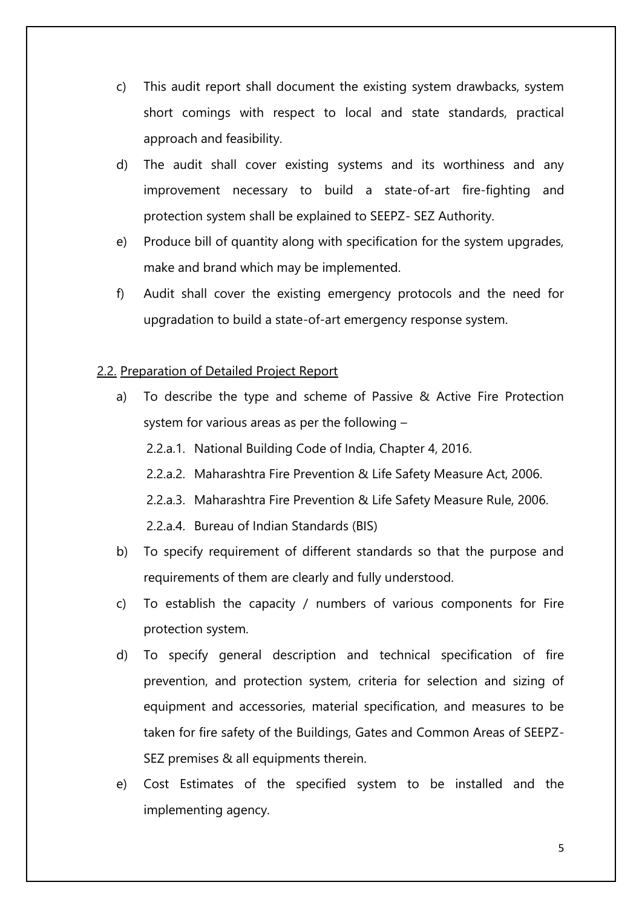- c) This audit report shall document the existing system drawbacks, system short comings with respect to local and state standards, practical approach and feasibility.
- d) The audit shall cover existing systems and its worthiness and any improvement necessary to build a state-of-art fire-fighting and protection system shall be explained to SEEPZ- SEZ Authority.
- e) Produce bill of quantity along with specification for the system upgrades, make and brand which may be implemented.
- f) Audit shall cover the existing emergency protocols and the need for upgradation to build a state-of-art emergency response system.

## 2.2. Preparation of Detailed Project Report

- a) To describe the type and scheme of Passive & Active Fire Protection system for various areas as per the following –
	- 2.2.a.1. National Building Code of India, Chapter 4, 2016.
	- 2.2.a.2. Maharashtra Fire Prevention & Life Safety Measure Act, 2006.
	- 2.2.a.3. Maharashtra Fire Prevention & Life Safety Measure Rule, 2006.
	- 2.2.a.4. Bureau of Indian Standards (BIS)
- b) To specify requirement of different standards so that the purpose and requirements of them are clearly and fully understood.
- c) To establish the capacity / numbers of various components for Fire protection system.
- d) To specify general description and technical specification of fire prevention, and protection system, criteria for selection and sizing of equipment and accessories, material specification, and measures to be taken for fire safety of the Buildings, Gates and Common Areas of SEEPZ-SEZ premises & all equipments therein.
- e) Cost Estimates of the specified system to be installed and the implementing agency.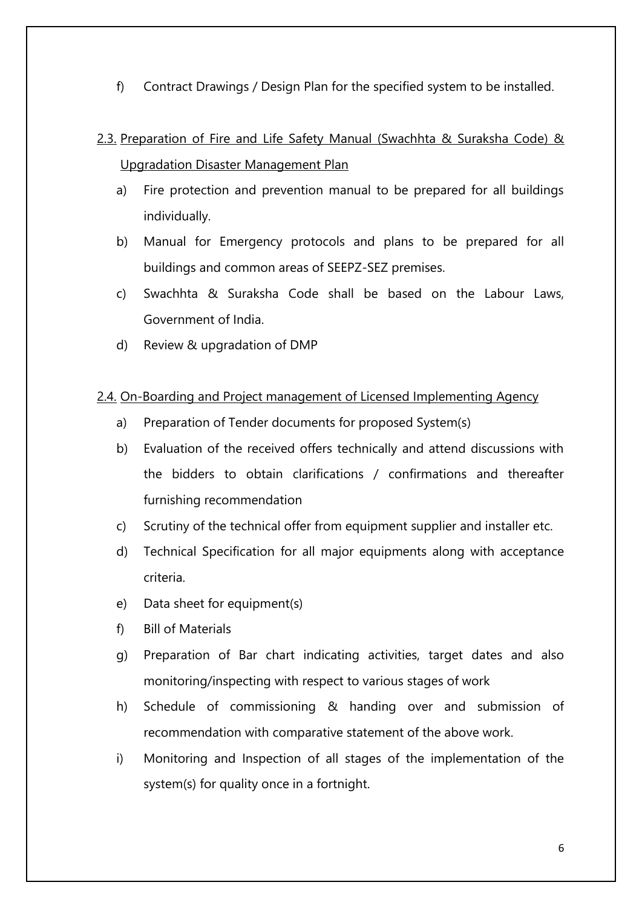f) Contract Drawings / Design Plan for the specified system to be installed.

# 2.3. Preparation of Fire and Life Safety Manual (Swachhta & Suraksha Code) & Upgradation Disaster Management Plan

- a) Fire protection and prevention manual to be prepared for all buildings individually.
- b) Manual for Emergency protocols and plans to be prepared for all buildings and common areas of SEEPZ-SEZ premises.
- c) Swachhta & Suraksha Code shall be based on the Labour Laws, Government of India.
- d) Review & upgradation of DMP

## 2.4. On-Boarding and Project management of Licensed Implementing Agency

- a) Preparation of Tender documents for proposed System(s)
- b) Evaluation of the received offers technically and attend discussions with the bidders to obtain clarifications / confirmations and thereafter furnishing recommendation
- c) Scrutiny of the technical offer from equipment supplier and installer etc.
- d) Technical Specification for all major equipments along with acceptance criteria.
- e) Data sheet for equipment(s)
- f) Bill of Materials
- g) Preparation of Bar chart indicating activities, target dates and also monitoring/inspecting with respect to various stages of work
- h) Schedule of commissioning & handing over and submission of recommendation with comparative statement of the above work.
- i) Monitoring and Inspection of all stages of the implementation of the system(s) for quality once in a fortnight.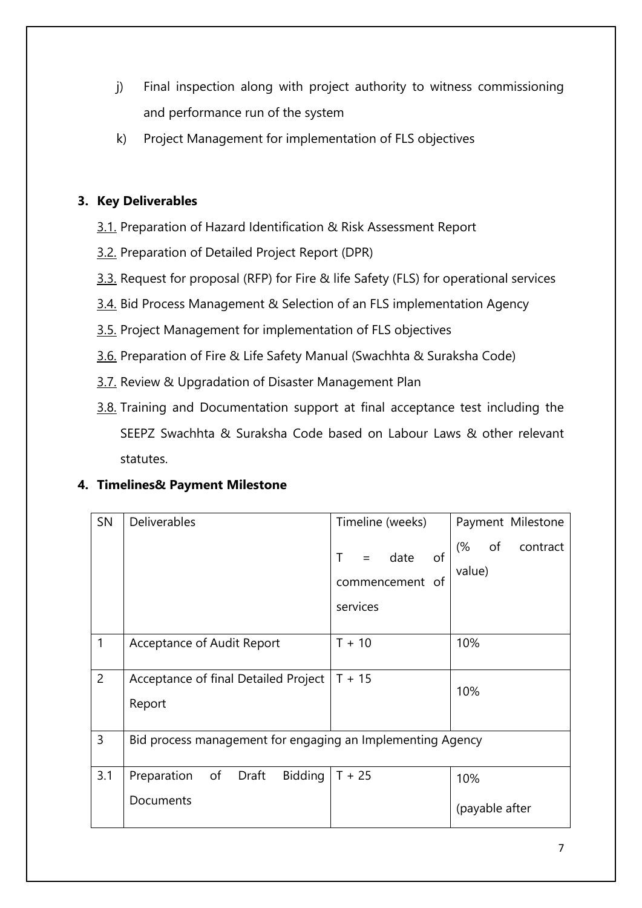- j) Final inspection along with project authority to witness commissioning and performance run of the system
- k) Project Management for implementation of FLS objectives

# **3. Key Deliverables**

- 3.1. Preparation of Hazard Identification & Risk Assessment Report
- 3.2. Preparation of Detailed Project Report (DPR)
- 3.3. Request for proposal (RFP) for Fire & life Safety (FLS) for operational services
- 3.4. Bid Process Management & Selection of an FLS implementation Agency
- 3.5. Project Management for implementation of FLS objectives
- 3.6. Preparation of Fire & Life Safety Manual (Swachhta & Suraksha Code)
- 3.7. Review & Upgradation of Disaster Management Plan
- 3.8. Training and Documentation support at final acceptance test including the SEEPZ Swachhta & Suraksha Code based on Labour Laws & other relevant statutes.

# **4. Timelines& Payment Milestone**

| SN             | <b>Deliverables</b>                                        | Timeline (weeks)    | Payment Milestone    |  |
|----------------|------------------------------------------------------------|---------------------|----------------------|--|
|                |                                                            | $=$ date<br>of<br>т | (%<br>of<br>contract |  |
|                |                                                            | commencement of     | value)               |  |
|                |                                                            | services            |                      |  |
| $\mathbf{1}$   | Acceptance of Audit Report                                 | $T + 10$            | 10%                  |  |
| $\overline{2}$ | Acceptance of final Detailed Project<br>Report             | $T + 15$            | 10%                  |  |
| 3              | Bid process management for engaging an Implementing Agency |                     |                      |  |
| 3.1            | Preparation of Draft<br>Bidding                            | $T + 25$            | 10%                  |  |
|                | Documents                                                  |                     | (payable after       |  |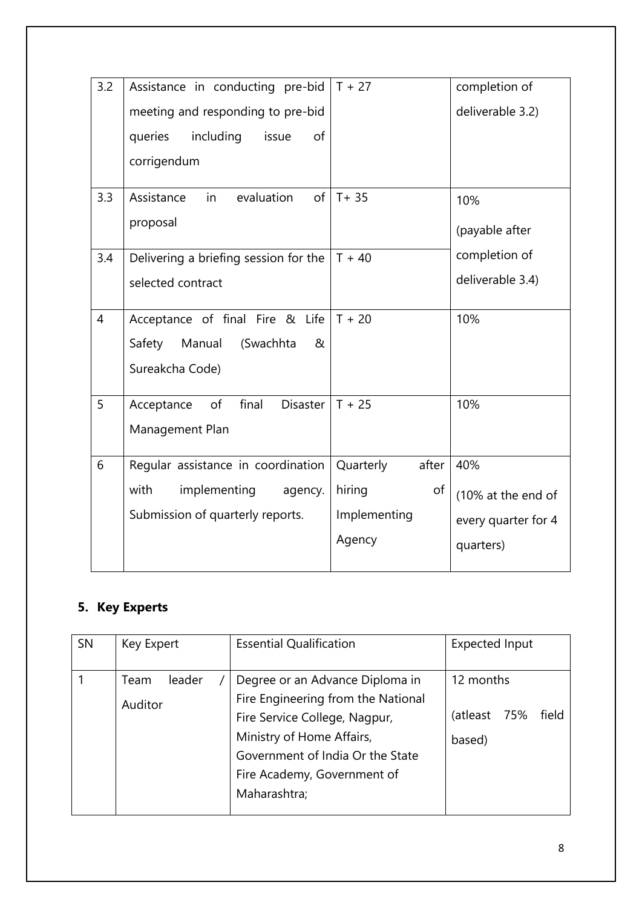| 3.2            | Assistance in conducting pre-bid      | $T + 27$           | completion of       |
|----------------|---------------------------------------|--------------------|---------------------|
|                | meeting and responding to pre-bid     |                    | deliverable 3.2)    |
|                | including<br>issue<br>queries<br>of   |                    |                     |
|                | corrigendum                           |                    |                     |
| 3.3            | evaluation<br>Assistance<br>in        | of $T + 35$        | 10%                 |
|                | proposal                              |                    | (payable after      |
| 3.4            | Delivering a briefing session for the | $T + 40$           | completion of       |
|                | selected contract                     |                    | deliverable 3.4)    |
| $\overline{4}$ | Acceptance of final Fire & Life       | $T + 20$           | 10%                 |
|                | Manual<br>(Swachhta<br>Safety<br>&    |                    |                     |
|                | Sureakcha Code)                       |                    |                     |
| 5              | final<br>of<br>Disaster<br>Acceptance | $T + 25$           | 10%                 |
|                | Management Plan                       |                    |                     |
| 6              | Regular assistance in coordination    | Quarterly<br>after | 40%                 |
|                | with<br>implementing<br>agency.       | hiring<br>of       | (10% at the end of  |
|                | Submission of quarterly reports.      | Implementing       | every quarter for 4 |
|                |                                       | Agency             | quarters)           |
|                |                                       |                    |                     |

# **5. Key Experts**

| <b>SN</b> | Key Expert      |        | <b>Essential Qualification</b>                                                                                                                                                                                         | <b>Expected Input</b>               |       |
|-----------|-----------------|--------|------------------------------------------------------------------------------------------------------------------------------------------------------------------------------------------------------------------------|-------------------------------------|-------|
|           | Team<br>Auditor | leader | Degree or an Advance Diploma in<br>Fire Engineering from the National<br>Fire Service College, Nagpur,<br>Ministry of Home Affairs,<br>Government of India Or the State<br>Fire Academy, Government of<br>Maharashtra; | 12 months<br>(atleast 75%<br>based) | field |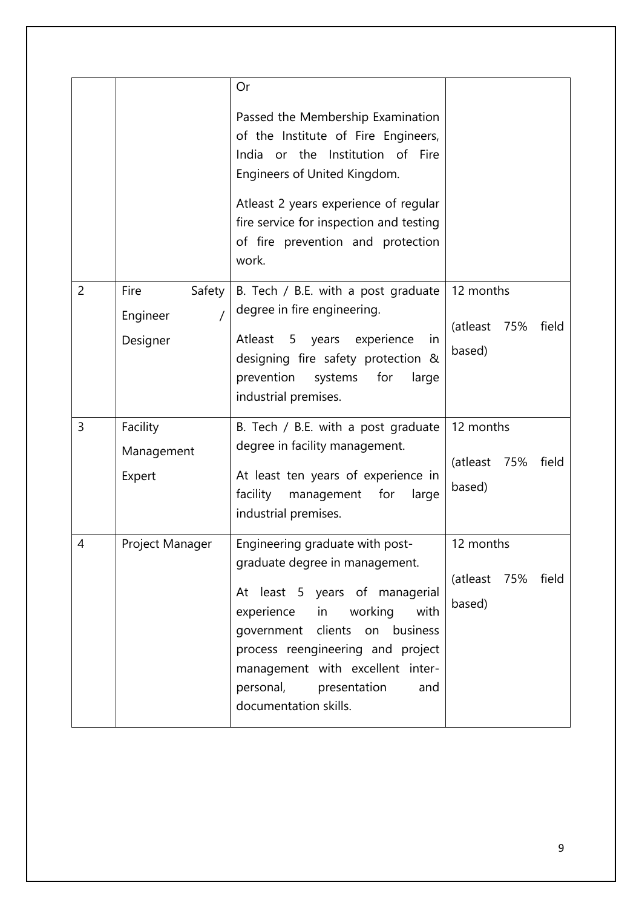|                |                                        | Or<br>Passed the Membership Examination<br>of the Institute of Fire Engineers,<br>India or the Institution of Fire<br>Engineers of United Kingdom.<br>Atleast 2 years experience of regular<br>fire service for inspection and testing<br>of fire prevention and protection<br>work.                               |                                                 |
|----------------|----------------------------------------|--------------------------------------------------------------------------------------------------------------------------------------------------------------------------------------------------------------------------------------------------------------------------------------------------------------------|-------------------------------------------------|
| $\overline{2}$ | Fire<br>Safety<br>Engineer<br>Designer | B. Tech / B.E. with a post graduate<br>degree in fire engineering.<br>5 years<br>experience<br>Atleast<br>in<br>designing fire safety protection &<br>prevention<br>systems<br>for<br>large<br>industrial premises.                                                                                                | 12 months<br>(atleast<br>75%<br>field<br>based) |
| 3              | Facility<br>Management<br>Expert       | B. Tech / B.E. with a post graduate<br>degree in facility management.<br>At least ten years of experience in<br>facility<br>management<br>for<br>large<br>industrial premises.                                                                                                                                     | 12 months<br>(atleast<br>75%<br>field<br>based) |
| 4              | Project Manager                        | Engineering graduate with post-<br>graduate degree in management.<br>At least 5 years of managerial<br>working<br>with<br>experience<br>in<br>government clients on business<br>process reengineering and project<br>management with excellent inter-<br>personal,<br>presentation<br>and<br>documentation skills. | 12 months<br>(atleast<br>75%<br>field<br>based) |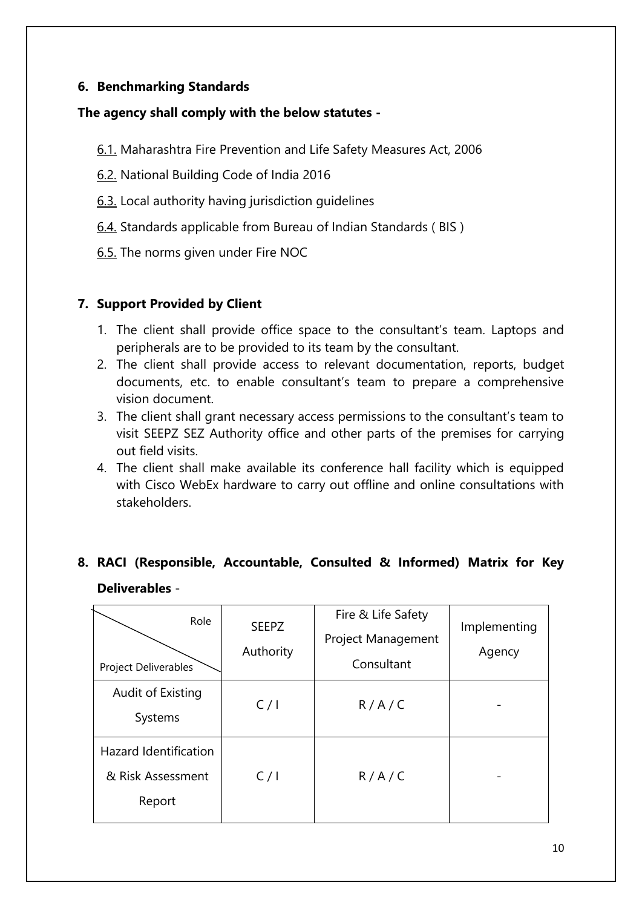# **6. Benchmarking Standards**

#### **The agency shall comply with the below statutes -**

- 6.1. Maharashtra Fire Prevention and Life Safety Measures Act, 2006
- 6.2. National Building Code of India 2016
- 6.3. Local authority having jurisdiction guidelines
- 6.4. Standards applicable from Bureau of Indian Standards ( BIS )
- 6.5. The norms given under Fire NOC

## **7. Support Provided by Client**

- 1. The client shall provide office space to the consultant's team. Laptops and peripherals are to be provided to its team by the consultant.
- 2. The client shall provide access to relevant documentation, reports, budget documents, etc. to enable consultant's team to prepare a comprehensive vision document.
- 3. The client shall grant necessary access permissions to the consultant's team to visit SEEPZ SEZ Authority office and other parts of the premises for carrying out field visits.
- 4. The client shall make available its conference hall facility which is equipped with Cisco WebEx hardware to carry out offline and online consultations with stakeholders.

# **8. RACI (Responsible, Accountable, Consulted & Informed) Matrix for Key Deliverables** -

| Role<br><b>Project Deliverables</b>                         | <b>SEEPZ</b><br>Authority | Fire & Life Safety<br>Project Management<br>Consultant | Implementing<br>Agency |
|-------------------------------------------------------------|---------------------------|--------------------------------------------------------|------------------------|
| Audit of Existing<br>Systems                                | C/1                       | R/A/C                                                  |                        |
| <b>Hazard Identification</b><br>& Risk Assessment<br>Report | C/1                       | R/A/C                                                  |                        |